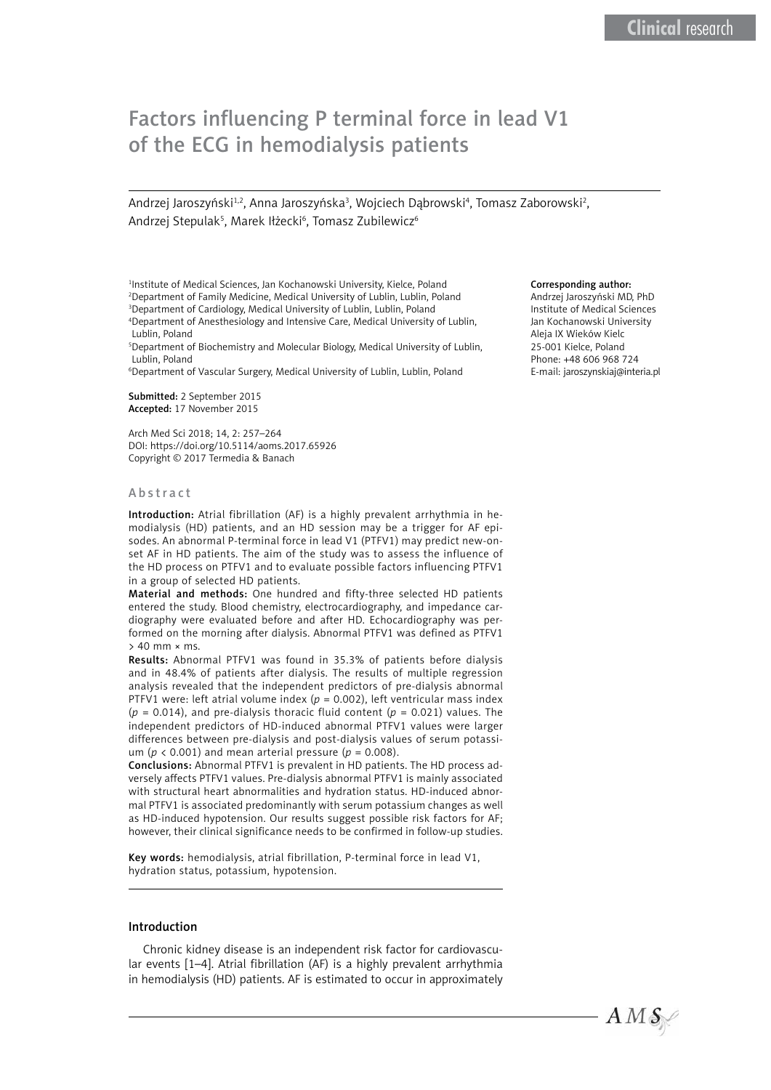# Factors influencing P terminal force in lead V1 of the ECG in hemodialysis patients

Andrzej Jaroszyński $^{1,2}$ , Anna Jaroszyńska $^3$ , Wojciech Dąbrowski $^4$ , Tomasz Zaborowski $^2$ , Andrzej Stepulak<sup>5</sup>, Marek Iłżecki<sup>6</sup>, Tomasz Zubilewicz<sup>6</sup>

<sup>1</sup>Institute of Medical Sciences, Jan Kochanowski University, Kielce, Poland 2 Department of Family Medicine, Medical University of Lublin, Lublin, Poland 3 Department of Cardiology, Medical University of Lublin, Lublin, Poland

4 Department of Anesthesiology and Intensive Care, Medical University of Lublin, Lublin, Poland

5 Department of Biochemistry and Molecular Biology, Medical University of Lublin, Lublin, Poland

6 Department of Vascular Surgery, Medical University of Lublin, Lublin, Poland

Submitted: 2 September 2015 Accepted: 17 November 2015

Arch Med Sci 2018; 14, 2: 257–264 DOI: https://doi.org/10.5114/aoms.2017.65926 Copyright © 2017 Termedia & Banach

#### Abstract

Introduction: Atrial fibrillation (AF) is a highly prevalent arrhythmia in hemodialysis (HD) patients, and an HD session may be a trigger for AF episodes. An abnormal P-terminal force in lead V1 (PTFV1) may predict new-onset AF in HD patients. The aim of the study was to assess the influence of the HD process on PTFV1 and to evaluate possible factors influencing PTFV1 in a group of selected HD patients.

Material and methods: One hundred and fifty-three selected HD patients entered the study. Blood chemistry, electrocardiography, and impedance cardiography were evaluated before and after HD. Echocardiography was performed on the morning after dialysis. Abnormal PTFV1 was defined as PTFV1 > 40 mm × ms.

Results: Abnormal PTFV1 was found in 35.3% of patients before dialysis and in 48.4% of patients after dialysis. The results of multiple regression analysis revealed that the independent predictors of pre-dialysis abnormal PTFV1 were: left atrial volume index ( $p = 0.002$ ), left ventricular mass index  $(p = 0.014)$ , and pre-dialysis thoracic fluid content  $(p = 0.021)$  values. The independent predictors of HD-induced abnormal PTFV1 values were larger differences between pre-dialysis and post-dialysis values of serum potassium ( $p \lt 0.001$ ) and mean arterial pressure ( $p = 0.008$ ).

Conclusions: Abnormal PTFV1 is prevalent in HD patients. The HD process adversely affects PTFV1 values. Pre-dialysis abnormal PTFV1 is mainly associated with structural heart abnormalities and hydration status. HD-induced abnormal PTFV1 is associated predominantly with serum potassium changes as well as HD-induced hypotension. Our results suggest possible risk factors for AF; however, their clinical significance needs to be confirmed in follow-up studies.

Key words: hemodialysis, atrial fibrillation, P-terminal force in lead V1, hydration status, potassium, hypotension.

# Introduction

Chronic kidney disease is an independent risk factor for cardiovascular events [1–4]. Atrial fibrillation (AF) is a highly prevalent arrhythmia in hemodialysis (HD) patients. AF is estimated to occur in approximately

#### Corresponding author:

Andrzej Jaroszyński MD, PhD Institute of Medical Sciences Jan Kochanowski University Aleja IX Wieków Kielc 25-001 Kielce, Poland Phone: +48 606 968 724 E-mail: [jaroszynskiaj@interia.pl](mailto:jaroszynskiaj@interia.pl)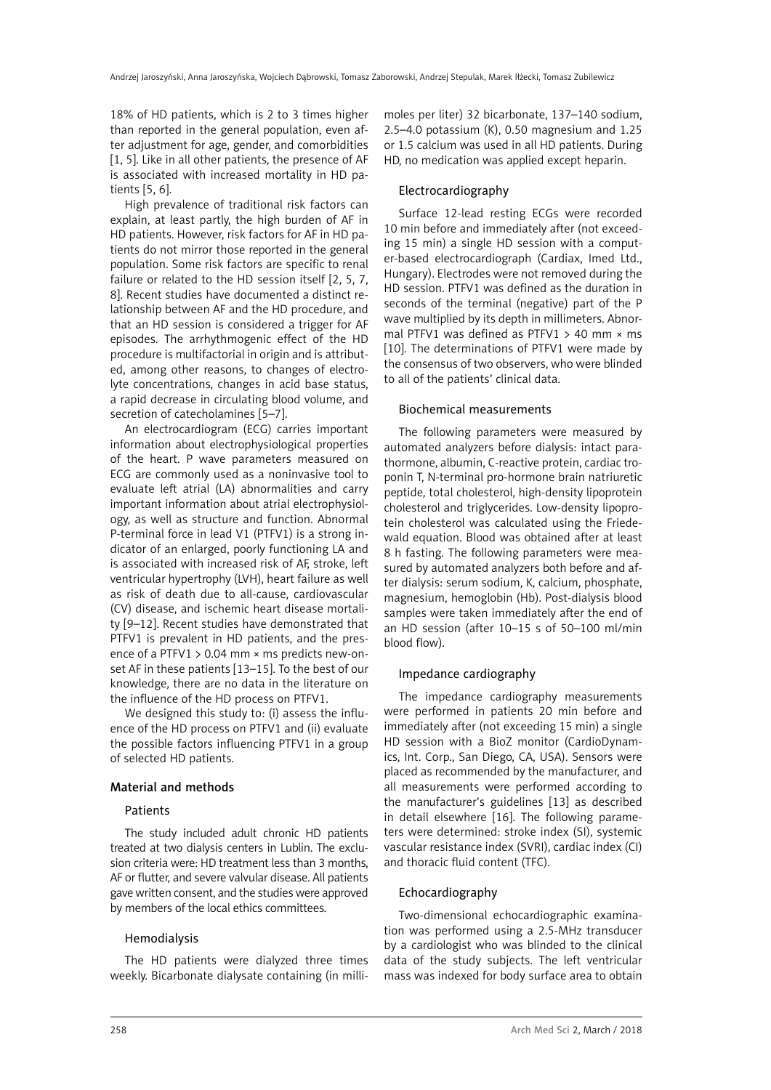18% of HD patients, which is 2 to 3 times higher than reported in the general population, even after adjustment for age, gender, and comorbidities [1, 5]. Like in all other patients, the presence of AF is associated with increased mortality in HD patients [5, 6].

High prevalence of traditional risk factors can explain, at least partly, the high burden of AF in HD patients. However, risk factors for AF in HD patients do not mirror those reported in the general population. Some risk factors are specific to renal failure or related to the HD session itself [2, 5, 7, 8]. Recent studies have documented a distinct relationship between AF and the HD procedure, and that an HD session is considered a trigger for AF episodes. The arrhythmogenic effect of the HD procedure is multifactorial in origin and is attributed, among other reasons, to changes of electrolyte concentrations, changes in acid base status, a rapid decrease in circulating blood volume, and secretion of catecholamines [5–7].

An electrocardiogram (ECG) carries important information about electrophysiological properties of the heart. P wave parameters measured on ECG are commonly used as a noninvasive tool to evaluate left atrial (LA) abnormalities and carry important information about atrial electrophysiology, as well as structure and function. Abnormal P-terminal force in lead V1 (PTFV1) is a strong indicator of an enlarged, poorly functioning LA and is associated with increased risk of AF, stroke, left ventricular hypertrophy (LVH), heart failure as well as risk of death due to all-cause, cardiovascular (CV) disease, and ischemic heart disease mortality [9–12]. Recent studies have demonstrated that PTFV1 is prevalent in HD patients, and the presence of a PTFV1 > 0.04 mm × ms predicts new-onset AF in these patients [13–15]. To the best of our knowledge, there are no data in the literature on the influence of the HD process on PTFV1.

We designed this study to: (i) assess the influence of the HD process on PTFV1 and (ii) evaluate the possible factors influencing PTFV1 in a group of selected HD patients.

### Material and methods

### Patients

The study included adult chronic HD patients treated at two dialysis centers in Lublin. The exclusion criteria were: HD treatment less than 3 months, AF or flutter, and severe valvular disease. All patients gave written consent, and the studies were approved by members of the local ethics committees.

### Hemodialysis

The HD patients were dialyzed three times weekly. Bicarbonate dialysate containing (in millimoles per liter) 32 bicarbonate, 137–140 sodium, 2.5–4.0 potassium (K), 0.50 magnesium and 1.25 or 1.5 calcium was used in all HD patients. During HD, no medication was applied except heparin.

# Electrocardiography

Surface 12-lead resting ECGs were recorded 10 min before and immediately after (not exceeding 15 min) a single HD session with a computer-based electrocardiograph (Cardiax, Imed Ltd., Hungary). Electrodes were not removed during the HD session. PTFV1 was defined as the duration in seconds of the terminal (negative) part of the P wave multiplied by its depth in millimeters. Abnormal PTFV1 was defined as PTFV1  $>$  40 mm  $\times$  ms [10]. The determinations of PTFV1 were made by the consensus of two observers, who were blinded to all of the patients' clinical data.

### Biochemical measurements

The following parameters were measured by automated analyzers before dialysis: intact parathormone, albumin, C-reactive protein, cardiac troponin T, N-terminal pro-hormone brain natriuretic peptide*,* total cholesterol, high-density lipoprotein cholesterol and triglycerides. Low-density lipoprotein cholesterol was calculated using the Friedewald equation. Blood was obtained after at least 8 h fasting. The following parameters were measured by automated analyzers both before and after dialysis: serum sodium, K, calcium, phosphate, magnesium, hemoglobin (Hb). Post-dialysis blood samples were taken immediately after the end of an HD session (after 10–15 s of 50–100 ml/min blood flow).

# Impedance cardiography

The impedance cardiography measurements were performed in patients 20 min before and immediately after (not exceeding 15 min) a single HD session with a BioZ monitor (CardioDynamics, Int. Corp., San Diego, CA, USA). Sensors were placed as recommended by the manufacturer, and all measurements were performed according to the manufacturer's guidelines [13] as described in detail elsewhere [16]. The following parameters were determined: stroke index (SI), systemic vascular resistance index (SVRI), cardiac index (CI) and thoracic fluid content (TFC).

### Echocardiography

Two-dimensional echocardiographic examination was performed using a 2.5-MHz transducer by a cardiologist who was blinded to the clinical data of the study subjects. The left ventricular mass was indexed for body surface area to obtain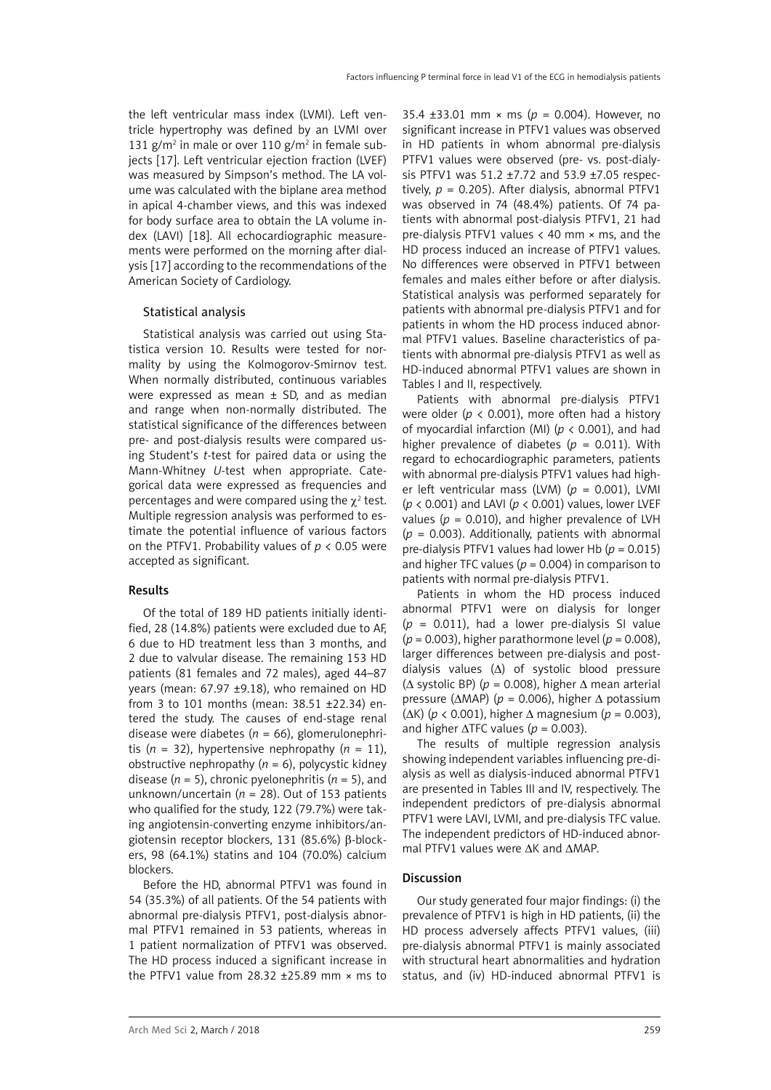the left ventricular mass index (LVMI). Left ventricle hypertrophy was defined by an LVMI over 131 g/m<sup>2</sup> in male or over 110 g/m<sup>2</sup> in female subjects [17]. Left ventricular ejection fraction (LVEF) was measured by Simpson's method. The LA volume was calculated with the biplane area method in apical 4-chamber views, and this was indexed for body surface area to obtain the LA volume index (LAVI) [18]. All echocardiographic measurements were performed on the morning after dialysis [17] according to the recommendations of the American Society of Cardiology.

# Statistical analysis

Statistical analysis was carried out using Statistica version 10. Results were tested for normality by using the Kolmogorov-Smirnov test. When normally distributed, continuous variables were expressed as mean ± SD, and as median and range when non-normally distributed. The statistical significance of the differences between pre- and post-dialysis results were compared using Student's *t*-test for paired data or using the Mann-Whitney *U*-test when appropriate. Categorical data were expressed as frequencies and percentages and were compared using the  $\chi^2$  test. Multiple regression analysis was performed to estimate the potential influence of various factors on the PTFV1. Probability values of *p* < 0.05 were accepted as significant.

# Results

Of the total of 189 HD patients initially identified, 28 (14.8%) patients were excluded due to AF, 6 due to HD treatment less than 3 months, and 2 due to valvular disease. The remaining 153 HD patients (81 females and 72 males), aged 44–87 years (mean: 67.97 ±9.18), who remained on HD from 3 to 101 months (mean: 38.51 ±22.34) entered the study. The causes of end-stage renal disease were diabetes (*n* = 66), glomerulonephritis ( $n = 32$ ), hypertensive nephropathy ( $n = 11$ ). obstructive nephropathy  $(n = 6)$ , polycystic kidney disease (*n* = 5), chronic pyelonephritis (*n* = 5), and unknown/uncertain (*n* = 28). Out of 153 patients who qualified for the study, 122 (79.7%) were taking angiotensin-converting enzyme inhibitors/angiotensin receptor blockers, 131 (85.6%) β-blockers, 98 (64.1%) statins and 104 (70.0%) calcium blockers.

Before the HD, abnormal PTFV1 was found in 54 (35.3%) of all patients. Of the 54 patients with abnormal pre-dialysis PTFV1, post-dialysis abnormal PTFV1 remained in 53 patients, whereas in 1 patient normalization of PTFV1 was observed. The HD process induced a significant increase in the PTFV1 value from  $28.32 + 25.89$  mm  $\times$  ms to

35.4 ±33.01 mm × ms (*p* = 0.004). However, no significant increase in PTFV1 values was observed in HD patients in whom abnormal pre-dialysis PTFV1 values were observed (pre- vs. post-dialysis PTFV1 was 51.2 ±7.72 and 53.9 ±7.05 respectively,  $p = 0.205$ ). After dialysis, abnormal PTFV1 was observed in 74 (48.4%) patients. Of 74 patients with abnormal post-dialysis PTFV1, 21 had pre-dialysis PTFV1 values  $\langle$  40 mm  $\times$  ms, and the HD process induced an increase of PTFV1 values. No differences were observed in PTFV1 between females and males either before or after dialysis. Statistical analysis was performed separately for patients with abnormal pre-dialysis PTFV1 and for patients in whom the HD process induced abnormal PTFV1 values. Baseline characteristics of patients with abnormal pre-dialysis PTFV1 as well as HD-induced abnormal PTFV1 values are shown in Tables I and II, respectively.

Patients with abnormal pre-dialysis PTFV1 were older (*p* < 0.001), more often had a history of myocardial infarction (MI) (*p* < 0.001), and had higher prevalence of diabetes ( $p = 0.011$ ). With regard to echocardiographic parameters, patients with abnormal pre-dialysis PTFV1 values had higher left ventricular mass (LVM) (*p* = 0.001), LVMI (*p* < 0.001) and LAVI (*p* < 0.001) values, lower LVEF values ( $p = 0.010$ ), and higher prevalence of LVH  $(p = 0.003)$ . Additionally, patients with abnormal pre-dialysis PTFV1 values had lower Hb (*p* = 0.015) and higher TFC values ( $p = 0.004$ ) in comparison to patients with normal pre-dialysis PTFV1.

Patients in whom the HD process induced abnormal PTFV1 were on dialysis for longer  $(p = 0.011)$ , had a lower pre-dialysis SI value (*p* = 0.003), higher parathormone level (*p* = 0.008), larger differences between pre-dialysis and postdialysis values (Δ) of systolic blood pressure ( $\Delta$  systolic BP) ( $p = 0.008$ ), higher  $\Delta$  mean arterial pressure (ΔMAP) (*p* = 0.006), higher Δ potassium (ΔK) (*p* < 0.001), higher Δ magnesium (*p* = 0.003), and higher  $\triangle TFC$  values ( $p = 0.003$ ).

The results of multiple regression analysis showing independent variables influencing pre-dialysis as well as dialysis-induced abnormal PTFV1 are presented in Tables III and IV, respectively. The independent predictors of pre-dialysis abnormal PTFV1 were LAVI, LVMI, and pre-dialysis TFC value. The independent predictors of HD-induced abnormal PTFV1 values were ΔK and ΔMAP.

# Discussion

Our study generated four major findings: (i) the prevalence of PTFV1 is high in HD patients, (ii) the HD process adversely affects PTFV1 values, (iii) pre-dialysis abnormal PTFV1 is mainly associated with structural heart abnormalities and hydration status, and (iv) HD-induced abnormal PTFV1 is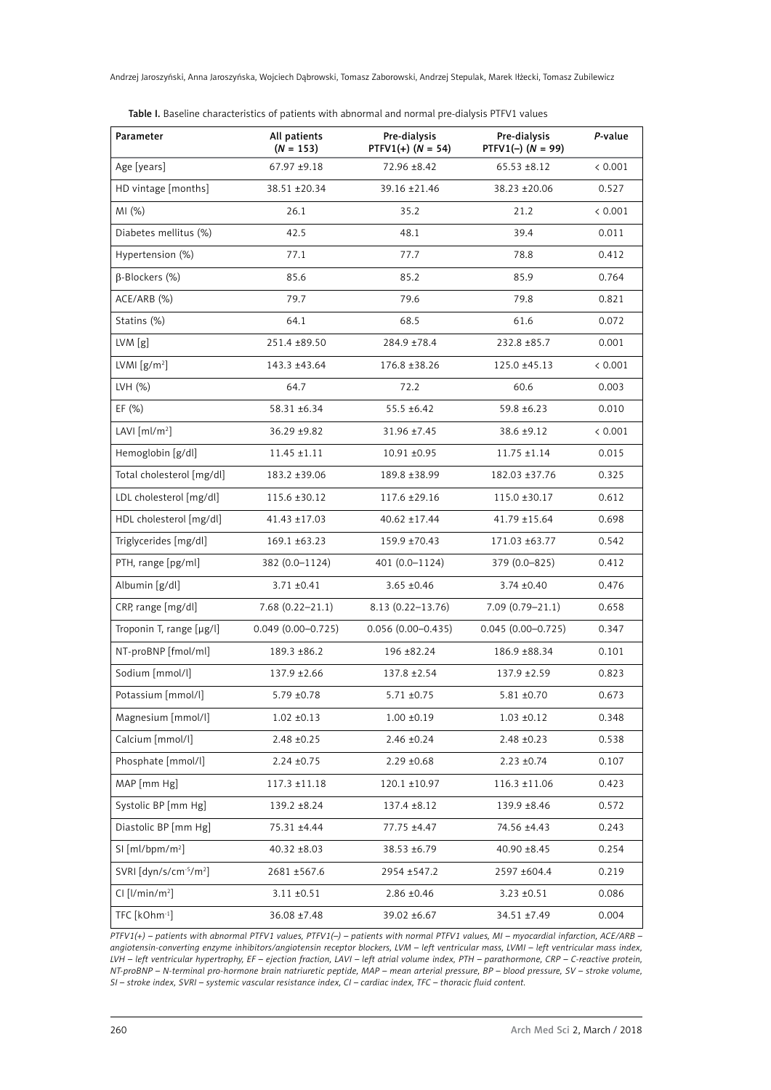Andrzej Jaroszyński, Anna Jaroszyńska, Wojciech Dąbrowski, Tomasz Zaborowski, Andrzej Stepulak, Marek Iłżecki, Tomasz Zubilewicz

Table I. Baseline characteristics of patients with abnormal and normal pre-dialysis PTFV1 values

| Parameter                         | All patients<br>$(N = 153)$ | Pre-dialysis<br>$PTFV1(+)$ (N = 54) | Pre-dialysis<br>$PTFV1(-) (N = 99)$ | P-value |
|-----------------------------------|-----------------------------|-------------------------------------|-------------------------------------|---------|
| Age [years]                       | 67.97 ±9.18                 | 72.96 ±8.42                         | $65.53 \pm 8.12$                    | < 0.001 |
| HD vintage [months]               | 38.51 ±20.34                | 39.16 ±21.46                        | 38.23 ±20.06                        | 0.527   |
| MI (%)                            | 26.1                        | 35.2                                | 21.2                                | < 0.001 |
| Diabetes mellitus (%)             | 42.5                        | 48.1                                | 39.4                                | 0.011   |
| Hypertension (%)                  | 77.1                        | 77.7                                | 78.8                                | 0.412   |
| $\beta$ -Blockers (%)             | 85.6                        | 85.2                                | 85.9                                | 0.764   |
| ACE/ARB (%)                       | 79.7                        | 79.6                                | 79.8                                | 0.821   |
| Statins (%)                       | 64.1                        | 68.5                                | 61.6                                | 0.072   |
| LVM[g]                            | 251.4 ±89.50                | 284.9 ±78.4                         | 232.8 ±85.7                         | 0.001   |
| LVMI $[g/m^2]$                    | 143.3 ±43.64                | 176.8 ±38.26                        | 125.0 ±45.13                        | < 0.001 |
| LVH (%)                           | 64.7                        | 72.2                                | 60.6                                | 0.003   |
| EF $(\% )$                        | 58.31 ±6.34                 | $55.5 \pm 6.42$                     | 59.8 ±6.23                          | 0.010   |
| LAVI $[ml/m^2]$                   | 36.29 ±9.82                 | 31.96 ±7.45                         | 38.6 ±9.12                          | < 0.001 |
| Hemoglobin [g/dl]                 | $11.45 \pm 1.11$            | $10.91 \pm 0.95$                    | $11.75 \pm 1.14$                    | 0.015   |
| Total cholesterol [mg/dl]         | 183.2 ±39.06                | 189.8 ±38.99                        | 182.03 ±37.76                       | 0.325   |
| LDL cholesterol [mg/dl]           | 115.6 ±30.12                | 117.6 ±29.16                        | $115.0 \pm 30.17$                   | 0.612   |
| HDL cholesterol [mg/dl]           | 41.43 ±17.03                | 40.62 ±17.44                        | $41.79 \pm 15.64$                   | 0.698   |
| Triglycerides [mg/dl]             | 169.1 ±63.23                | 159.9 ±70.43                        | 171.03 ±63.77                       | 0.542   |
| PTH, range [pg/ml]                | 382 (0.0-1124)              | 401 (0.0-1124)                      | 379 (0.0–825)                       | 0.412   |
| Albumin [g/dl]                    | $3.71 \pm 0.41$             | $3.65 \pm 0.46$                     | $3.74 \pm 0.40$                     | 0.476   |
| CRP, range [mg/dl]                | $7.68(0.22 - 21.1)$         | 8.13 (0.22-13.76)                   | $7.09(0.79 - 21.1)$                 | 0.658   |
| Troponin T, range [µg/l]          | $0.049(0.00 - 0.725)$       | $0.056(0.00 - 0.435)$               | $0.045(0.00 - 0.725)$               | 0.347   |
| NT-proBNP [fmol/ml]               | 189.3 ±86.2                 | 196 ±82.24                          | 186.9 ±88.34                        | 0.101   |
| Sodium [mmol/l]                   | $137.9 \pm 2.66$            | 137.8 ± 2.54                        | $137.9 \pm 2.59$                    | 0.823   |
| Potassium [mmol/l]                | $5.79 \pm 0.78$             | $5.71 \pm 0.75$                     | $5.81 \pm 0.70$                     | 0.673   |
| Magnesium [mmol/l]                | $1.02 \pm 0.13$             | $1.00 \pm 0.19$                     | $1.03 \pm 0.12$                     | 0.348   |
| Calcium [mmol/l]                  | $2.48 \pm 0.25$             | $2.46 \pm 0.24$                     | $2.48 \pm 0.23$                     | 0.538   |
| Phosphate [mmol/l]                | $2.24 \pm 0.75$             | $2.29 \pm 0.68$                     | $2.23 \pm 0.74$                     | 0.107   |
| MAP [mm Hg]                       | $117.3 \pm 11.18$           | $120.1 \pm 10.97$                   | $116.3 \pm 11.06$                   | 0.423   |
| Systolic BP [mm Hg]               | 139.2 ±8.24                 | $137.4 \pm 8.12$                    | 139.9 ±8.46                         | 0.572   |
| Diastolic BP [mm Hg]              | 75.31 ±4.44                 | 77.75 ±4.47                         | 74.56 ±4.43                         | 0.243   |
| SI [ml/bpm/m <sup>2</sup> ]       | $40.32 \pm 8.03$            | 38.53 ±6.79                         | $40.90 \pm 8.45$                    | 0.254   |
| SVRI [dyn/s/cm-5/m <sup>2</sup> ] | 2681 ±567.6                 | 2954 ±547.2                         | 2597 ±604.4                         | 0.219   |
| $Cl$ [ $l/min/m2$ ]               | $3.11 \pm 0.51$             | $2.86 \pm 0.46$                     | $3.23 \pm 0.51$                     | 0.086   |
| TFC [kOhm <sup>-1</sup> ]         | 36.08 ±7.48                 | 39.02 ±6.67                         | 34.51 ±7.49                         | 0.004   |

*PTFV1(+) – patients with abnormal PTFV1 values, PTFV1(–) – patients with normal PTFV1 values, MI – myocardial infarction, ACE/ARB – angiotensin-converting enzyme inhibitors/angiotensin receptor blockers, LVM – left ventricular mass, LVMI – left ventricular mass index, LVH – left ventricular hypertrophy, EF – ejection fraction, LAVI – left atrial volume index, PTH – parathormone, CRP – C-reactive protein, NT-proBNP – N-terminal pro-hormone brain natriuretic peptide, MAP – mean arterial pressure, BP – blood pressure, SV – stroke volume, SI – stroke index, SVRI – systemic vascular resistance index, CI – cardiac index, TFC – thoracic fluid content.*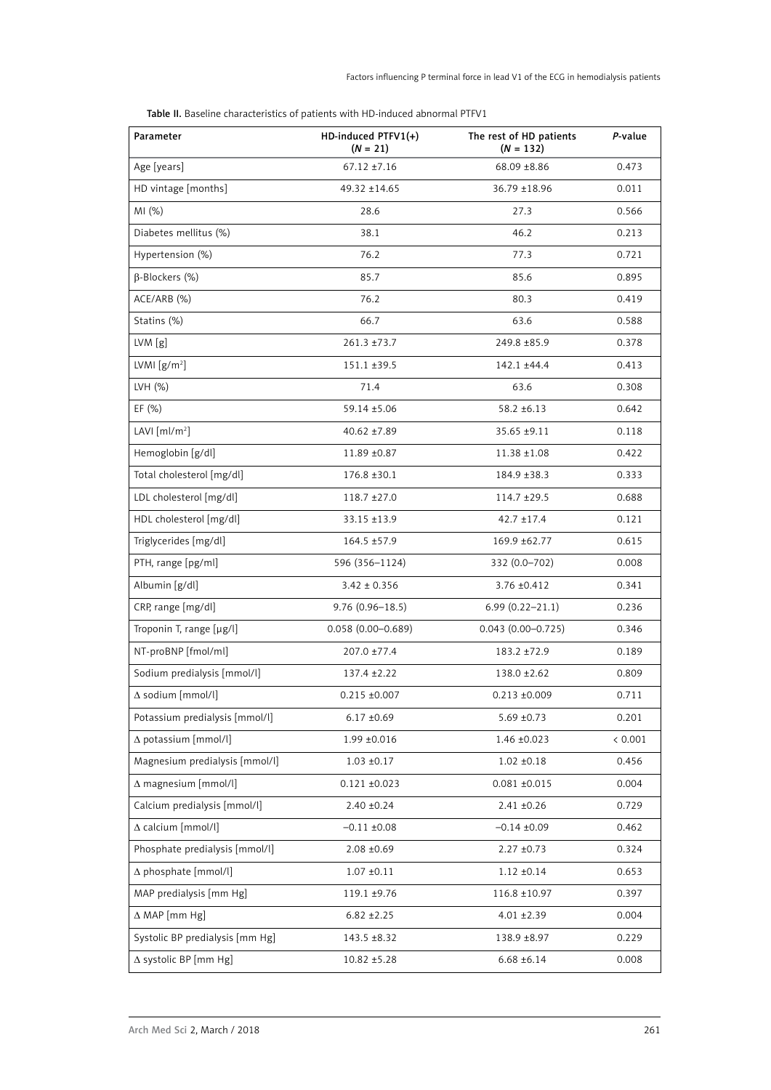| Table II. Baseline characteristics of patients with HD-induced abnormal PTFV1 |
|-------------------------------------------------------------------------------|
|                                                                               |

| Parameter                       | HD-induced PTFV1(+)<br>$(N = 21)$ | The rest of HD patients<br>$(N = 132)$ | P-value |
|---------------------------------|-----------------------------------|----------------------------------------|---------|
| Age [years]                     | $67.12 \pm 7.16$                  | 68.09 ±8.86                            | 0.473   |
| HD vintage [months]             | 49.32 ±14.65                      | 36.79 ±18.96                           | 0.011   |
| MI(%)                           | 28.6                              | 27.3                                   | 0.566   |
| Diabetes mellitus (%)           | 38.1                              | 46.2                                   | 0.213   |
| Hypertension (%)                | 76.2                              | 77.3                                   | 0.721   |
| $\beta$ -Blockers (%)           | 85.7                              | 85.6                                   | 0.895   |
| ACE/ARB (%)                     | 76.2                              | 80.3                                   | 0.419   |
| Statins (%)                     | 66.7                              | 63.6                                   | 0.588   |
| LVM[g]                          | $261.3 \pm 73.7$                  | 249.8 ±85.9                            | 0.378   |
| LVMI $[g/m^2]$                  | $151.1 \pm 39.5$                  | 142.1 ±44.4                            | 0.413   |
| LVH (%)                         | 71.4                              | 63.6                                   | 0.308   |
| EF $(\% )$                      | 59.14 ±5.06                       | $58.2 \pm 6.13$                        | 0.642   |
| LAVI $[ml/m^2]$                 | $40.62 + 7.89$                    | 35.65 ±9.11                            | 0.118   |
| Hemoglobin [g/dl]               | 11.89 ±0.87                       | $11.38 \pm 1.08$                       | 0.422   |
| Total cholesterol [mg/dl]       | $176.8 \pm 30.1$                  | 184.9 ±38.3                            | 0.333   |
| LDL cholesterol [mg/dl]         | $118.7 \pm 27.0$                  | 114.7 ±29.5                            | 0.688   |
| HDL cholesterol [mg/dl]         | 33.15 ±13.9                       | $42.7 \pm 17.4$                        | 0.121   |
| Triglycerides [mg/dl]           | $164.5 \pm 57.9$                  | 169.9 ±62.77                           | 0.615   |
| PTH, range [pg/ml]              | 596 (356-1124)                    | 332 (0.0-702)                          | 0.008   |
| Albumin [g/dl]                  | $3.42 \pm 0.356$                  | 3.76 ±0.412                            | 0.341   |
| CRP, range [mg/dl]              | $9.76(0.96 - 18.5)$               | $6.99(0.22 - 21.1)$                    | 0.236   |
| Troponin T, range [µg/l]        | $0.058(0.00 - 0.689)$             | $0.043(0.00 - 0.725)$                  | 0.346   |
| NT-proBNP [fmol/ml]             | $207.0 \pm 77.4$                  | 183.2 ±72.9                            | 0.189   |
| Sodium predialysis [mmol/l]     | 137.4 ± 2.22                      | $138.0 \pm 2.62$                       | 0.809   |
| $\Delta$ sodium [mmol/l]        | $0.215 \pm 0.007$                 | $0.213 \pm 0.009$                      | 0.711   |
| Potassium predialysis [mmol/l]  | $6.17 \pm 0.69$                   | $5.69 \pm 0.73$                        | 0.201   |
| A potassium [mmol/l]            | $1.99 \pm 0.016$                  | $1.46 \pm 0.023$                       | < 0.001 |
| Magnesium predialysis [mmol/l]  | $1.03 \pm 0.17$                   | $1.02 \pm 0.18$                        | 0.456   |
| $\Delta$ magnesium [mmol/l]     | $0.121 \pm 0.023$                 | $0.081 \pm 0.015$                      | 0.004   |
| Calcium predialysis [mmol/l]    | $2.40 \pm 0.24$                   | $2.41 \pm 0.26$                        | 0.729   |
| A calcium [mmol/l]              | $-0.11 \pm 0.08$                  | $-0.14 \pm 0.09$                       | 0.462   |
| Phosphate predialysis [mmol/l]  | $2.08 \pm 0.69$                   | $2.27 + 0.73$                          | 0.324   |
| $\Delta$ phosphate [mmol/l]     | $1.07 \pm 0.11$                   | $1.12 \pm 0.14$                        | 0.653   |
| MAP predialysis [mm Hg]         | 119.1 ±9.76                       | 116.8 ±10.97                           | 0.397   |
| $\Delta$ MAP [mm Hg]            | $6.82 + 2.25$                     | $4.01 \pm 2.39$                        | 0.004   |
| Systolic BP predialysis [mm Hg] | 143.5 ±8.32                       | 138.9 ±8.97                            | 0.229   |
| ∆ systolic BP [mm Hg]           | $10.82 \pm 5.28$                  | $6.68 \pm 6.14$                        | 0.008   |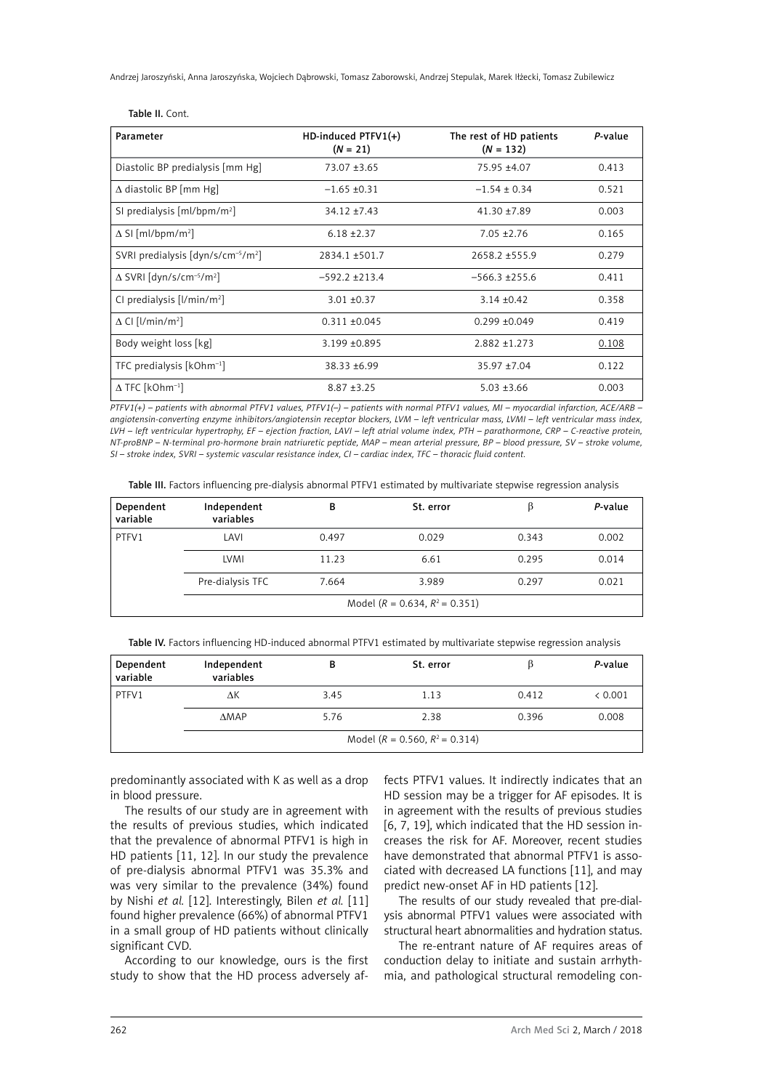Andrzej Jaroszyński, Anna Jaroszyńska, Wojciech Dąbrowski, Tomasz Zaborowski, Andrzej Stepulak, Marek Iłżecki, Tomasz Zubilewicz

| Parameter                                                 | $HD$ -induced PTFV1 $(+)$<br>$(N = 21)$ | The rest of HD patients<br>$(N = 132)$ | P-value |
|-----------------------------------------------------------|-----------------------------------------|----------------------------------------|---------|
| Diastolic BP predialysis [mm Hg]                          | $73.07 + 3.65$                          | 75.95 ±4.07                            | 0.413   |
| $\Delta$ diastolic BP [mm Hg]                             | $-1.65 \pm 0.31$                        | $-1.54 \pm 0.34$                       | 0.521   |
| SI predialysis $[ml/bpm/m2]$                              | $34.12 + 7.43$                          | $41.30 + 7.89$                         | 0.003   |
| $\Delta$ SI [ml/bpm/m <sup>2</sup> ]                      | $6.18 + 2.37$                           | $7.05 + 2.76$                          | 0.165   |
| SVRI predialysis $\left[\frac{dyn}{s/cm^{-5}/m^2}\right]$ | 2834.1 ±501.7                           | $2658.2 + 555.9$                       | 0.279   |
| $\Delta$ SVRI [dyn/s/cm <sup>-5</sup> /m <sup>2</sup> ]   | $-592.2 + 213.4$                        | $-566.3 \pm 255.6$                     | 0.411   |
| CI predialysis $[1/min/m^2]$                              | $3.01 + 0.37$                           | $3.14 + 0.42$                          | 0.358   |
| $\Delta$ CI [l/min/m <sup>2</sup> ]                       | $0.311 + 0.045$                         | $0.299 + 0.049$                        | 0.419   |
| Body weight loss [kg]                                     | 3.199 ±0.895                            | $2.882 \pm 1.273$                      | 0.108   |
| TFC predialysis [kOhm <sup>-1</sup> ]                     | $38.33 + 6.99$                          | $35.97 + 7.04$                         | 0.122   |
| $\Delta$ TFC [kOhm <sup>-1</sup> ]                        | $8.87 + 3.25$                           | $5.03 \pm 3.66$                        | 0.003   |

Table II. Cont.

*PTFV1(+) – patients with abnormal PTFV1 values, PTFV1(–) – patients with normal PTFV1 values, MI – myocardial infarction, ACE/ARB – angiotensin-converting enzyme inhibitors/angiotensin receptor blockers, LVM – left ventricular mass, LVMI – left ventricular mass index, LVH – left ventricular hypertrophy, EF – ejection fraction, LAVI – left atrial volume index, PTH – parathormone, CRP – C-reactive protein, NT-proBNP – N-terminal pro-hormone brain natriuretic peptide, MAP – mean arterial pressure, BP – blood pressure, SV – stroke volume, SI – stroke index, SVRI – systemic vascular resistance index, CI – cardiac index, TFC – thoracic fluid content.*

Table III. Factors influencing pre-dialysis abnormal PTFV1 estimated by multivariate stepwise regression analysis

| Dependent<br>variable | Independent<br>variables              | в     | St. error |       | P-value |
|-----------------------|---------------------------------------|-------|-----------|-------|---------|
| PTFV1                 | LAVI                                  | 0.497 | 0.029     | 0.343 | 0.002   |
|                       | LVMI                                  | 11.23 | 6.61      | 0.295 | 0.014   |
|                       | Pre-dialysis TFC                      | 7.664 | 3.989     | 0.297 | 0.021   |
|                       | Model ( $R = 0.634$ , $R^2 = 0.351$ ) |       |           |       |         |

Table IV. Factors influencing HD-induced abnormal PTFV1 estimated by multivariate stepwise regression analysis

| Dependent<br>variable | Independent<br>variables |      | St. error                             |       | P-value |
|-----------------------|--------------------------|------|---------------------------------------|-------|---------|
| PTFV1                 | ΔΚ                       | 3.45 | 1.13                                  | 0.412 | < 0.001 |
|                       | <b>AMAP</b>              | 5.76 | 2.38                                  | 0.396 | 0.008   |
|                       |                          |      | Model ( $R = 0.560$ , $R^2 = 0.314$ ) |       |         |

predominantly associated with K as well as a drop in blood pressure.

The results of our study are in agreement with the results of previous studies, which indicated that the prevalence of abnormal PTFV1 is high in HD patients [11, 12]. In our study the prevalence of pre-dialysis abnormal PTFV1 was 35.3% and was very similar to the prevalence (34%) found by Nishi *et al.* [12]. Interestingly, Bilen *et al.* [11] found higher prevalence (66%) of abnormal PTFV1 in a small group of HD patients without clinically significant CVD.

According to our knowledge, ours is the first study to show that the HD process adversely affects PTFV1 values. It indirectly indicates that an HD session may be a trigger for AF episodes. It is in agreement with the results of previous studies [6, 7, 19], which indicated that the HD session increases the risk for AF. Moreover, recent studies have demonstrated that abnormal PTFV1 is associated with decreased LA functions [11], and may predict new-onset AF in HD patients [12].

The results of our study revealed that pre-dialysis abnormal PTFV1 values were associated with structural heart abnormalities and hydration status.

The re-entrant nature of AF requires areas of conduction delay to initiate and sustain arrhythmia, and pathological structural remodeling con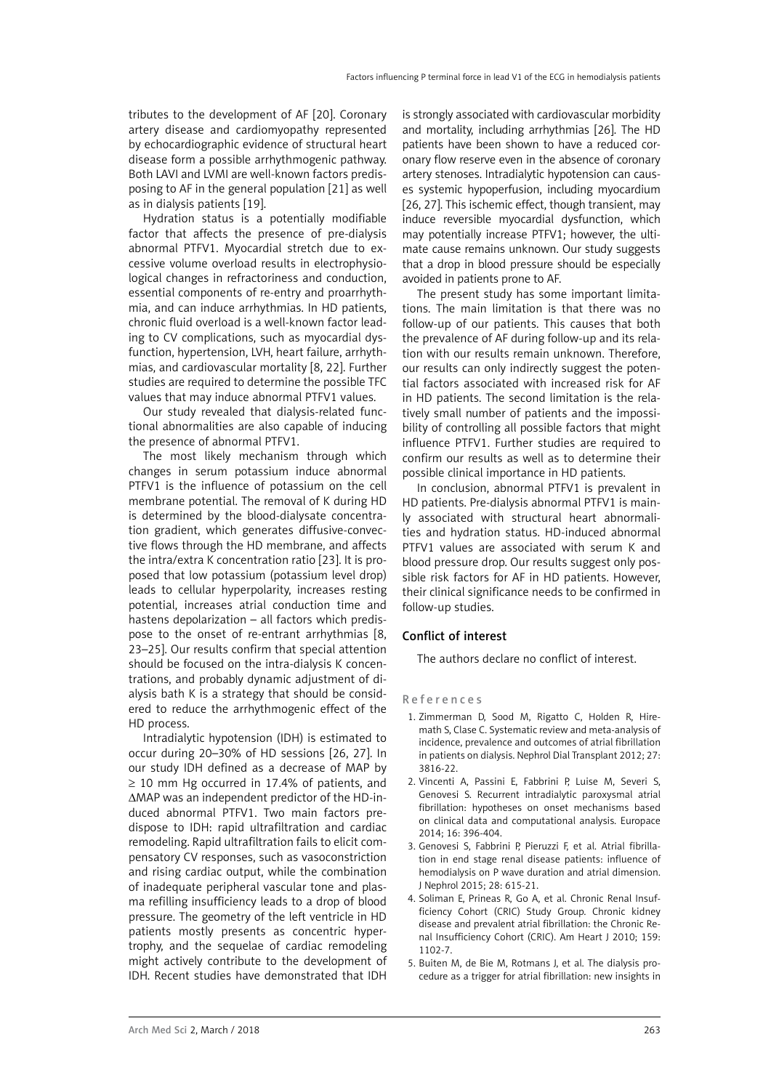tributes to the development of AF [20]. Coronary artery disease and cardiomyopathy represented by echocardiographic evidence of structural heart disease form a possible arrhythmogenic pathway. Both LAVI and LVMI are well-known factors predisposing to AF in the general population [21] as well as in dialysis patients [19].

Hydration status is a potentially modifiable factor that affects the presence of pre-dialysis abnormal PTFV1. Myocardial stretch due to excessive volume overload results in electrophysiological changes in refractoriness and conduction, essential components of re-entry and proarrhythmia, and can induce arrhythmias. In HD patients, chronic fluid overload is a well-known factor leading to CV complications, such as myocardial dysfunction, hypertension, LVH, heart failure, arrhythmias, and cardiovascular mortality [8, 22]. Further studies are required to determine the possible TFC values that may induce abnormal PTFV1 values.

Our study revealed that dialysis-related functional abnormalities are also capable of inducing the presence of abnormal PTFV1.

The most likely mechanism through which changes in serum potassium induce abnormal PTFV1 is the influence of potassium on the cell membrane potential. The removal of K during HD is determined by the blood-dialysate concentration gradient, which generates diffusive-convective flows through the HD membrane, and affects the intra/extra K concentration ratio [23]. It is proposed that low potassium (potassium level drop) leads to cellular hyperpolarity, increases resting potential, increases atrial conduction time and hastens depolarization – all factors which predispose to the onset of re-entrant arrhythmias [8, 23–25]. Our results confirm that special attention should be focused on the intra-dialysis K concentrations, and probably dynamic adjustment of dialysis bath K is a strategy that should be considered to reduce the arrhythmogenic effect of the HD process.

Intradialytic hypotension (IDH) is estimated to occur during 20–30% of HD sessions [26, 27]. In our study IDH defined as a decrease of MAP by  $\geq$  10 mm Hg occurred in 17.4% of patients, and ΔMAP was an independent predictor of the HD-induced abnormal PTFV1. Two main factors predispose to IDH: rapid ultrafiltration and cardiac remodeling. Rapid ultrafiltration fails to elicit compensatory CV responses, such as vasoconstriction and rising cardiac output, while the combination of inadequate peripheral vascular tone and plasma refilling insufficiency leads to a drop of blood pressure. The geometry of the left ventricle in HD patients mostly presents as concentric hypertrophy, and the sequelae of cardiac remodeling might actively contribute to the development of IDH. Recent studies have demonstrated that IDH

is strongly associated with cardiovascular morbidity and mortality, including arrhythmias [26]. The HD patients have been shown to have a reduced coronary flow reserve even in the absence of coronary artery stenoses. Intradialytic hypotension can causes systemic hypoperfusion, including myocardium [26, 27]. This ischemic effect, though transient, may induce reversible myocardial dysfunction, which may potentially increase PTFV1; however, the ultimate cause remains unknown. Our study suggests that a drop in blood pressure should be especially avoided in patients prone to AF.

The present study has some important limitations. The main limitation is that there was no follow-up of our patients. This causes that both the prevalence of AF during follow-up and its relation with our results remain unknown. Therefore, our results can only indirectly suggest the potential factors associated with increased risk for AF in HD patients. The second limitation is the relatively small number of patients and the impossibility of controlling all possible factors that might influence PTFV1. Further studies are required to confirm our results as well as to determine their possible clinical importance in HD patients.

In conclusion, abnormal PTFV1 is prevalent in HD patients. Pre-dialysis abnormal PTFV1 is mainly associated with structural heart abnormalities and hydration status. HD-induced abnormal PTFV1 values are associated with serum K and blood pressure drop. Our results suggest only possible risk factors for AF in HD patients. However, their clinical significance needs to be confirmed in follow-up studies.

### Conflict of interest

The authors declare no conflict of interest.

#### References

- 1. Zimmerman D, Sood M, Rigatto C, Holden R, Hiremath S, Clase C. Systematic review and meta-analysis of incidence, prevalence and outcomes of atrial fibrillation in patients on dialysis. Nephrol Dial Transplant 2012; 27: 3816-22.
- 2. Vincenti A, Passini E, Fabbrini P, Luise M, Severi S, Genovesi S. Recurrent intradialytic paroxysmal atrial fibrillation: hypotheses on onset mechanisms based on clinical data and computational analysis. Europace 2014; 16: 396-404.
- 3. [Genovesi S,](http://www.ncbi.nlm.nih.gov/pubmed/?term=Genovesi S%5BAuthor%5D&cauthor=true&cauthor_uid=25119455) [Fabbrini P](http://www.ncbi.nlm.nih.gov/pubmed/?term=Fabbrini P%5BAuthor%5D&cauthor=true&cauthor_uid=25119455), [Pieruzzi F](http://www.ncbi.nlm.nih.gov/pubmed/?term=Pieruzzi F%5BAuthor%5D&cauthor=true&cauthor_uid=25119455), et al. Atrial fibrillation in end stage renal disease patients: influence of hemodialysis on P wave duration and atrial dimension. [J Nephrol](http://www.ncbi.nlm.nih.gov/pubmed/25119455) 2015; 28: 615-21.
- 4. Soliman E, Prineas R, Go A, et al. Chronic Renal Insufficiency Cohort (CRIC) Study Group. Chronic kidney disease and prevalent atrial fibrillation: the Chronic Renal Insufficiency Cohort (CRIC). Am Heart J 2010; 159: 1102-7.
- 5. [Buiten M](http://www.ncbi.nlm.nih.gov/pubmed/?term=Buiten MS%5BAuthor%5D&cauthor=true&cauthor_uid=24670418), [de Bie M,](http://www.ncbi.nlm.nih.gov/pubmed/?term=de Bie MK%5BAuthor%5D&cauthor=true&cauthor_uid=24670418) [Rotmans J, et al. T](http://www.ncbi.nlm.nih.gov/pubmed/?term=Rotmans JI%5BAuthor%5D&cauthor=true&cauthor_uid=24670418)he dialysis procedure as a trigger for atrial fibrillation: new insights in